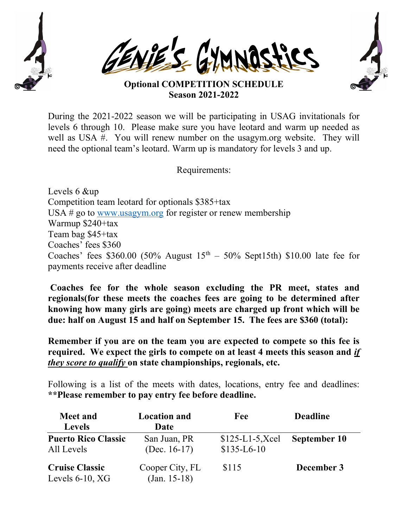





## Optional COMPETITION SCHEDULE Season 2021-2022

During the 2021-2022 season we will be participating in USAG invitationals for levels 6 through 10. Please make sure you have leotard and warm up needed as well as USA #. You will renew number on the usagym.org website. They will need the optional team's leotard. Warm up is mandatory for levels 3 and up.

Requirements:

Levels 6 &up Competition team leotard for optionals \$385+tax USA # go to www.usagym.org for register or renew membership Warmup \$240+tax Team bag \$45+tax Coaches' fees \$360 Coaches' fees \$360.00 (50% August  $15<sup>th</sup> - 50%$  Sept15th) \$10.00 late fee for payments receive after deadline

Coaches fee for the whole season excluding the PR meet, states and regionals(for these meets the coaches fees are going to be determined after knowing how many girls are going) meets are charged up front which will be due: half on August 15 and half on September 15. The fees are \$360 (total):

Remember if you are on the team you are expected to compete so this fee is required. We expect the girls to compete on at least 4 meets this season and if they score to qualify on state championships, regionals, etc.

Following is a list of the meets with dates, locations, entry fee and deadlines: \*\*Please remember to pay entry fee before deadline.

| <b>Meet and</b><br><b>Levels</b>            | <b>Location and</b><br>Date       | Fee                               | <b>Deadline</b> |
|---------------------------------------------|-----------------------------------|-----------------------------------|-----------------|
| <b>Puerto Rico Classic</b><br>All Levels    | San Juan, PR<br>(Dec. $16-17$ )   | $$125-L1-5, Xcel$<br>$$135-L6-10$ | September 10    |
| <b>Cruise Classic</b><br>Levels $6-10$ , XG | Cooper City, FL<br>$(Jan. 15-18)$ | \$115                             | December 3      |